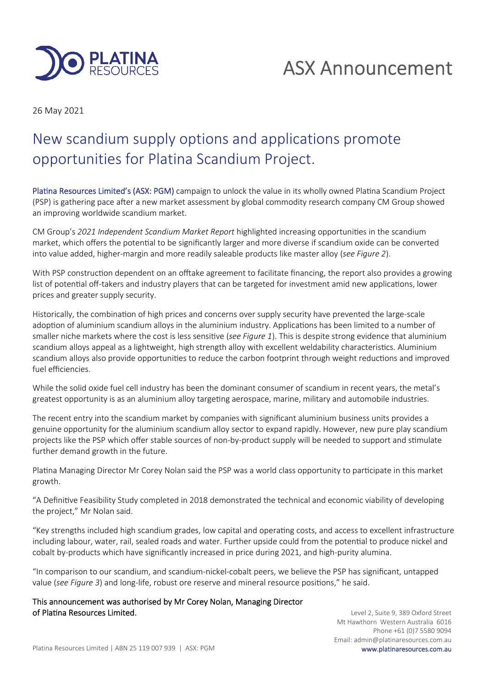

# ASX Announcement

26 May 2021

## New scandium supply options and applications promote opportunities for Platina Scandium Project.

Platina Resources Limited's (ASX: PGM) campaign to unlock the value in its wholly owned Platina Scandium Project (PSP) is gathering pace after a new market assessment by global commodity research company CM Group showed an improving worldwide scandium market.

CM Group's 2021 Independent Scandium Market Report highlighted increasing opportunities in the scandium market, which offers the potential to be significantly larger and more diverse if scandium oxide can be converted into value added, higher-margin and more readily saleable products like master alloy (*see Figure 2*).

With PSP construction dependent on an offtake agreement to facilitate financing, the report also provides a growing list of potential off-takers and industry players that can be targeted for investment amid new applications, lower prices and greater supply security.

Historically, the combination of high prices and concerns over supply security have prevented the large-scale adoption of aluminium scandium alloys in the aluminium industry. Applications has been limited to a number of smaller niche markets where the cost is less sensitive (*see Figure 1*). This is despite strong evidence that aluminium scandium alloys appeal as a lightweight, high strength alloy with excellent weldability characteristics. Aluminium scandium alloys also provide opportunities to reduce the carbon footprint through weight reductions and improved fuel efficiencies.

While the solid oxide fuel cell industry has been the dominant consumer of scandium in recent years, the metal's greatest opportunity is as an aluminium alloy targeting aerospace, marine, military and automobile industries.

The recent entry into the scandium market by companies with significant aluminium business units provides a genuine opportunity for the aluminium scandium alloy sector to expand rapidly. However, new pure play scandium projects like the PSP which offer stable sources of non-by-product supply will be needed to support and stimulate further demand growth in the future.

Platina Managing Director Mr Corey Nolan said the PSP was a world class opportunity to participate in this market growth.

"A Definitive Feasibility Study completed in 2018 demonstrated the technical and economic viability of developing the project," Mr Nolan said.

"Key strengths included high scandium grades, low capital and operating costs, and access to excellent infrastructure including labour, water, rail, sealed roads and water. Further upside could from the potential to produce nickel and cobalt by-products which have significantly increased in price during 2021, and high-purity alumina.

"In comparison to our scandium, and scandium-nickel-cobalt peers, we believe the PSP has significant, untapped value (see Figure 3) and long-life, robust ore reserve and mineral resource positions," he said.

This announcement was authorised by Mr Corey Nolan, Managing Director of Platina Resources Limited.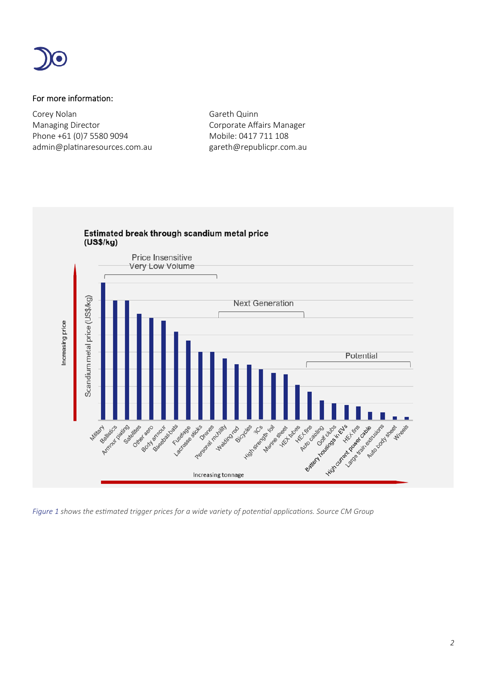

### For more information:

Corey Nolan Gareth Quinn Managing Director **Communists** Corporate Affairs Manager Phone +61 (0)7 5580 9094 Mobile: 0417 711 108 admin@platinaresources.com.au eareth@republicpr.com.au



*Figure 1 shows the estimated trigger prices for a wide variety of potential applications. Source CM Group*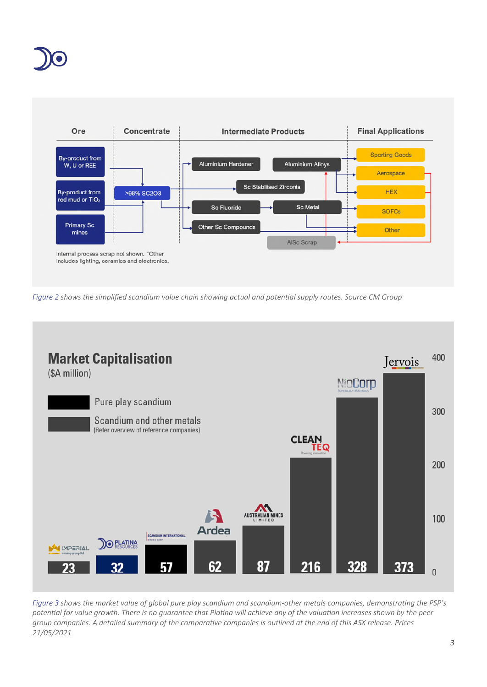



*Figure 2 shows the simplified scandium value chain showing actual and potenal supply routes. Source CM Group*



*Figure 3 shows the market value of global pure play scandium and scandium-other metals companies, demonstrang the PSP's* potential for value growth. There is no guarantee that Platina will achieve any of the valuation increases shown by the peer group companies. A detailed summary of the comparative companies is outlined at the end of this ASX release. Prices *21/05/2021*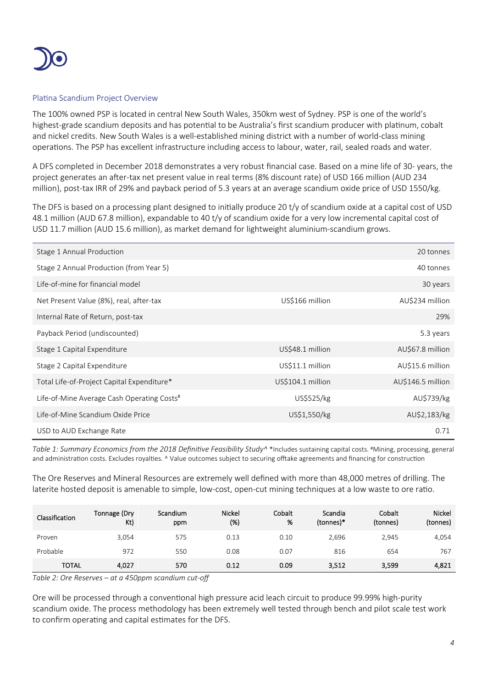

#### Platina Scandium Project Overview

The 100% owned PSP is located in central New South Wales, 350km west of Sydney. PSP is one of the world's highest-grade scandium deposits and has potential to be Australia's first scandium producer with platinum, cobalt and nickel credits. New South Wales is a well-established mining district with a number of world-class mining operations. The PSP has excellent infrastructure including access to labour, water, rail, sealed roads and water.

A DFS completed in December 2018 demonstrates a very robust financial case. Based on a mine life of 30- years, the project generates an after-tax net present value in real terms (8% discount rate) of USD 166 million (AUD 234 million), post-tax IRR of 29% and payback period of 5.3 years at an average scandium oxide price of USD 1550/kg.

The DFS is based on a processing plant designed to initially produce 20 t/y of scandium oxide at a capital cost of USD 48.1 million (AUD 67.8 million), expandable to 40 t/y of scandium oxide for a very low incremental capital cost of USD 11.7 million (AUD 15.6 million), as market demand for lightweight aluminium-scandium grows.

| Stage 1 Annual Production                  |                   | 20 tonnes         |
|--------------------------------------------|-------------------|-------------------|
| Stage 2 Annual Production (from Year 5)    |                   | 40 tonnes         |
| Life-of-mine for financial model           |                   | 30 years          |
| Net Present Value (8%), real, after-tax    | US\$166 million   | AU\$234 million   |
| Internal Rate of Return, post-tax          |                   | 29%               |
| Payback Period (undiscounted)              |                   | 5.3 years         |
| Stage 1 Capital Expenditure                | US\$48.1 million  | AU\$67.8 million  |
| Stage 2 Capital Expenditure                | US\$11.1 million  | AU\$15.6 million  |
| Total Life-of-Project Capital Expenditure* | US\$104.1 million | AU\$146.5 million |
| Life-of-Mine Average Cash Operating Costs# | US\$525/kg        | AU\$739/kg        |
| Life-of-Mine Scandium Oxide Price          | US\$1,550/kg      | AU\$2,183/kg      |
| USD to AUD Exchange Rate                   |                   | 0.71              |

*Table 1: Summary Economics from the 2018 Definive Feasibility Study^* \*Includes sustaining capital costs. #Mining, processing, general and administration costs. Excludes royalties. ^ Value outcomes subject to securing offtake agreements and financing for construction

The Ore Reserves and Mineral Resources are extremely well defined with more than 48,000 metres of drilling. The laterite hosted deposit is amenable to simple, low-cost, open-cut mining techniques at a low waste to ore ratio.

| Classification | Tonnage (Dry<br>Kt) | Scandium<br>ppm | <b>Nickel</b><br>(%) | Cobalt<br>% | Scandia<br>(tonnes)* | Cobalt<br>(tonnes) | <b>Nickel</b><br>(tonnes) |
|----------------|---------------------|-----------------|----------------------|-------------|----------------------|--------------------|---------------------------|
| Proven         | 3,054               | 575             | 0.13                 | 0.10        | 2,696                | 2,945              | 4,054                     |
| Probable       | 972                 | 550             | 0.08                 | 0.07        | 816                  | 654                | 767                       |
| <b>TOTAL</b>   | 4,027               | 570             | 0.12                 | 0.09        | 3,512                | 3,599              | 4,821                     |

*Table 2: Ore Reserves – at a 450ppm scandium cut-off*

Ore will be processed through a conventional high pressure acid leach circuit to produce 99.99% high-purity scandium oxide. The process methodology has been extremely well tested through bench and pilot scale test work to confirm operating and capital estimates for the DFS.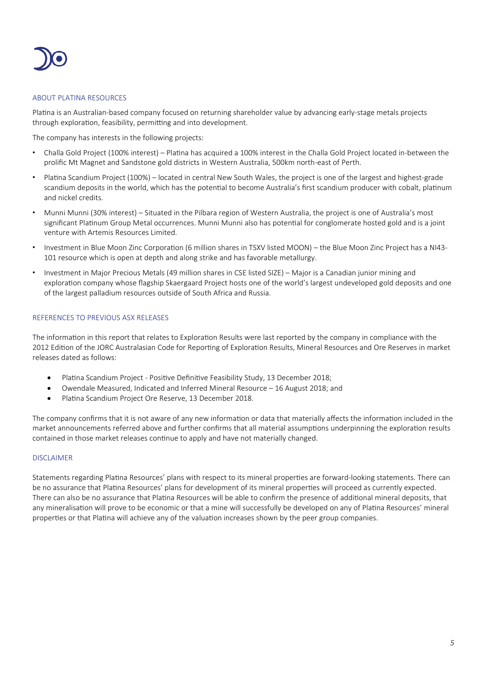

#### ABOUT PLATINA RESOURCES

Platina is an Australian-based company focused on returning shareholder value by advancing early-stage metals projects through exploration, feasibility, permitting and into development.

The company has interests in the following projects:

- Challa Gold Project (100% interest) Plana has acquired a 100% interest in the Challa Gold Project located in-between the prolific Mt Magnet and Sandstone gold districts in Western Australia, 500km north-east of Perth.
- Platina Scandium Project (100%) located in central New South Wales, the project is one of the largest and highest-grade scandium deposits in the world, which has the potential to become Australia's first scandium producer with cobalt, platinum and nickel credits.
- Munni Munni (30% interest) Situated in the Pilbara region of Western Australia, the project is one of Australia's most significant Platinum Group Metal occurrences. Munni Munni also has potential for conglomerate hosted gold and is a joint venture with Artemis Resources Limited.
- Investment in Blue Moon Zinc Corporation (6 million shares in TSXV listed MOON) the Blue Moon Zinc Project has a NI43-101 resource which is open at depth and along strike and has favorable metallurgy.
- Investment in Major Precious Metals (49 million shares in CSE listed SIZE) Major is a Canadian junior mining and exploration company whose flagship Skaergaard Project hosts one of the world's largest undeveloped gold deposits and one of the largest palladium resources outside of South Africa and Russia.

#### REFERENCES TO PREVIOUS ASX RELEASES

The information in this report that relates to Exploration Results were last reported by the company in compliance with the 2012 Edition of the JORC Australasian Code for Reporting of Exploration Results, Mineral Resources and Ore Reserves in market releases dated as follows:

- Platina Scandium Project Positive Definitive Feasibility Study, 13 December 2018;
- Owendale Measured, Indicated and Inferred Mineral Resource 16 August 2018; and
- Platina Scandium Project Ore Reserve, 13 December 2018.

The company confirms that it is not aware of any new information or data that materially affects the information included in the market announcements referred above and further confirms that all material assumptions underpinning the exploration results contained in those market releases continue to apply and have not materially changed.

#### DISCLAIMER

Statements regarding Platina Resources' plans with respect to its mineral properties are forward-looking statements. There can be no assurance that Platina Resources' plans for development of its mineral properties will proceed as currently expected. There can also be no assurance that Platina Resources will be able to confirm the presence of additional mineral deposits, that any mineralisation will prove to be economic or that a mine will successfully be developed on any of Platina Resources' mineral properties or that Platina will achieve any of the valuation increases shown by the peer group companies.